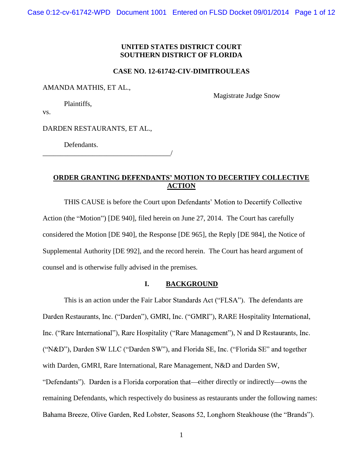# **UNITED STATES DISTRICT COURT SOUTHERN DISTRICT OF FLORIDA**

### **CASE NO. 12-61742-CIV-DIMITROULEAS**

AMANDA MATHIS, ET AL.,

Magistrate Judge Snow

Plaintiffs,

vs.

DARDEN RESTAURANTS, ET AL.,

Defendants.

\_\_\_\_\_\_\_\_\_\_\_\_\_\_\_\_\_\_\_\_\_\_\_\_\_\_\_\_\_\_\_\_\_\_\_\_/

# **ORDER GRANTING DEFENDANTS' MOTION TO DECERTIFY COLLECTIVE ACTION**

THIS CAUSE is before the Court upon Defendants' Motion to Decertify Collective Action (the "Motion") [DE 940], filed herein on June 27, 2014. The Court has carefully considered the Motion [DE 940], the Response [DE 965], the Reply [DE 984], the Notice of Supplemental Authority [DE 992], and the record herein. The Court has heard argument of counsel and is otherwise fully advised in the premises.

### **I. BACKGROUND**

This is an action under the Fair Labor Standards Act ("FLSA"). The defendants are Darden Restaurants, Inc. ("Darden"), GMRI, Inc. ("GMRI"), RARE Hospitality International, Inc. ("Rare International"), Rare Hospitality ("Rare Management"), N and D Restaurants, Inc. ("N&D"), Darden SW LLC ("Darden SW"), and Florida SE, Inc. ("Florida SE" and together with Darden, GMRI, Rare International, Rare Management, N&D and Darden SW, "Defendants"). Darden is a Florida corporation that—either directly or indirectly—owns the remaining Defendants, which respectively do business as restaurants under the following names: Bahama Breeze, Olive Garden, Red Lobster, Seasons 52, Longhorn Steakhouse (the "Brands").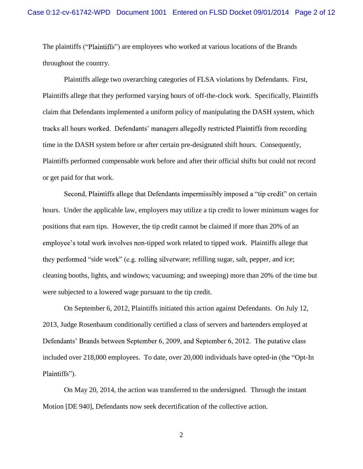The plaintiffs ("Plaintiffs") are employees who worked at various locations of the Brands throughout the country.

Plaintiffs allege two overarching categories of FLSA violations by Defendants. First, Plaintiffs allege that they performed varying hours of off-the-clock work. Specifically, Plaintiffs claim that Defendants implemented a uniform policy of manipulating the DASH system, which tracks all hours worked. Defendants' managers allegedly restricted Plaintiffs from recording time in the DASH system before or after certain pre-designated shift hours. Consequently, Plaintiffs performed compensable work before and after their official shifts but could not record or get paid for that work.

Second, Plaintiffs allege that Defendants impermissibly imposed a "tip credit" on certain hours. Under the applicable law, employers may utilize a tip credit to lower minimum wages for positions that earn tips. However, the tip credit cannot be claimed if more than 20% of an employee's total work involves non-tipped work related to tipped work. Plaintiffs allege that they performed "side work" (e.g. rolling silverware; refilling sugar, salt, pepper, and ice; cleaning booths, lights, and windows; vacuuming; and sweeping) more than 20% of the time but were subjected to a lowered wage pursuant to the tip credit.

On September 6, 2012, Plaintiffs initiated this action against Defendants. On July 12, 2013, Judge Rosenbaum conditionally certified a class of servers and bartenders employed at Defendants' Brands between September 6, 2009, and September 6, 2012. The putative class included over  $218,000$  employees. To date, over  $20,000$  individuals have opted-in (the "Opt-In" Plaintiffs").

On May 20, 2014, the action was transferred to the undersigned. Through the instant Motion [DE 940], Defendants now seek decertification of the collective action.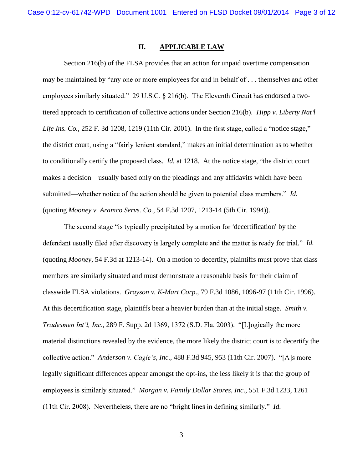## **II. APPLICABLE LAW**

Section 216(b) of the FLSA provides that an action for unpaid overtime compensation may be maintained by "any one or more employees for and in behalf of . . . themselves and other employees similarly situated." 29 U.S.C.  $\S$  216(b). The Eleventh Circuit has endorsed a twotiered approach to certification of collective actions under Section 216(b). *Hipp v. Liberty Nat l Life Ins. Co.*, 252 F. 3d 1208, 1219 (11th Cir. 2001). In the first stage, called a "notice stage," the district court, using a "fairly lenient standard," makes an initial determination as to whether to conditionally certify the proposed class. *Id.* at 1218. At the notice stage, "the district court makes a decision—usually based only on the pleadings and any affidavits which have been submitted—whether notice of the action should be given to potential class members." *Id.* (quoting *Mooney v. Aramco Servs. Co.,* 54 F.3d 1207, 1213-14 (5th Cir. 1994)).

The second stage "is typically precipitated by a motion for 'decertification' by the defendant usually filed after discovery is largely complete and the matter is ready for trial." *Id.* (quoting *Mooney*, 54 F.3d at 1213-14). On a motion to decertify, plaintiffs must prove that class members are similarly situated and must demonstrate a reasonable basis for their claim of classwide FLSA violations. *Grayson v. K-Mart Corp*., 79 F.3d 1086, 1096-97 (11th Cir. 1996). At this decertification stage, plaintiffs bear a heavier burden than at the initial stage. *Smith v. Tradesmen Int'l, Inc.*, 289 F. Supp. 2d 1369, 1372 (S.D. Fla. 2003). "[L]ogically the more material distinctions revealed by the evidence, the more likely the district court is to decertify the collective action." *Anderson v. Cagle's, Inc.*, 488 F.3d 945, 953 (11th Cir. 2007). "[A]s more legally significant differences appear amongst the opt-ins, the less likely it is that the group of *Morgan v. Family Dollar Stores, Inc*., 551 F.3d 1233, 1261 (11th Cir. 2008). Nevertheless, there are no "bright lines in defining similarly." *Id.*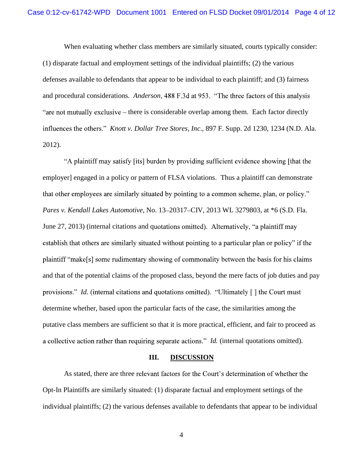When evaluating whether class members are similarly situated, courts typically consider: (1) disparate factual and employment settings of the individual plaintiffs; (2) the various defenses available to defendants that appear to be individual to each plaintiff; and (3) fairness and procedural considerations. *Anderson*, 488 F.3d at 953. "The three factors of this analysis "are not mutually exclusive – there is considerable overlap among them. Each factor directly *Knott v. Dollar Tree Stores, Inc*., 897 F. Supp. 2d 1230, 1234 (N.D. Ala. 2012).

"A plaintiff may satisfy [its] burden by providing sufficient evidence showing [that the employer] engaged in a policy or pattern of FLSA violations. Thus a plaintiff can demonstrate that other employees are similarly situated by pointing to a common scheme, plan, or policy." *Pares v. Kendall Lakes Automotive*, No. 13–20317–CIV, 2013 WL 3279803, at \*6 (S.D. Fla. June 27, 2013) (internal citations and quotations omitted). Alternatively, "a plaintiff may establish that others are similarly situated without pointing to a particular plan or policy" if the plaintiff "make[s] some rudimentary showing of commonality between the basis for his claims and that of the potential claims of the proposed class, beyond the mere facts of job duties and pay provisions." *Id.* (internal citations and quotations omitted). "Ultimately [] the Court must determine whether, based upon the particular facts of the case, the similarities among the putative class members are sufficient so that it is more practical, efficient, and fair to proceed as *a* collective action rather than requiring separate actions." *Id.* (internal quotations omitted).

### **III. DISCUSSION**

As stated, there are three relevant factors for the Court's determination of whether the Opt-In Plaintiffs are similarly situated: (1) disparate factual and employment settings of the individual plaintiffs; (2) the various defenses available to defendants that appear to be individual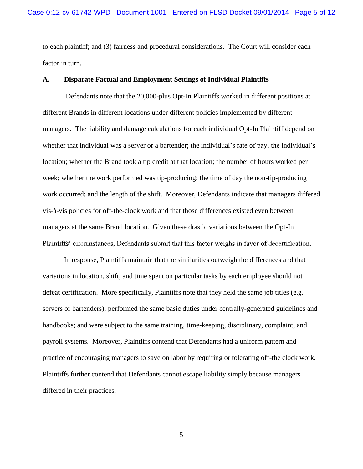to each plaintiff; and (3) fairness and procedural considerations. The Court will consider each factor in turn.

## **A. Disparate Factual and Employment Settings of Individual Plaintiffs**

Defendants note that the 20,000-plus Opt-In Plaintiffs worked in different positions at different Brands in different locations under different policies implemented by different managers. The liability and damage calculations for each individual Opt-In Plaintiff depend on whether that individual was a server or a bartender; the individual's rate of pay; the individual's location; whether the Brand took a tip credit at that location; the number of hours worked per week; whether the work performed was tip-producing; the time of day the non-tip-producing work occurred; and the length of the shift. Moreover, Defendants indicate that managers differed vis-à-vis policies for off-the-clock work and that those differences existed even between managers at the same Brand location. Given these drastic variations between the Opt-In Plaintiffs' circumstances, Defendants submit that this factor weighs in favor of decertification.

In response, Plaintiffs maintain that the similarities outweigh the differences and that variations in location, shift, and time spent on particular tasks by each employee should not defeat certification. More specifically, Plaintiffs note that they held the same job titles (e.g. servers or bartenders); performed the same basic duties under centrally-generated guidelines and handbooks; and were subject to the same training, time-keeping, disciplinary, complaint, and payroll systems. Moreover, Plaintiffs contend that Defendants had a uniform pattern and practice of encouraging managers to save on labor by requiring or tolerating off-the clock work. Plaintiffs further contend that Defendants cannot escape liability simply because managers differed in their practices.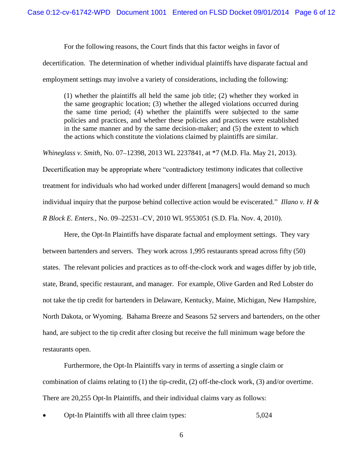For the following reasons, the Court finds that this factor weighs in favor of

decertification. The determination of whether individual plaintiffs have disparate factual and

employment settings may involve a variety of considerations, including the following:

(1) whether the plaintiffs all held the same job title; (2) whether they worked in the same geographic location; (3) whether the alleged violations occurred during the same time period; (4) whether the plaintiffs were subjected to the same policies and practices, and whether these policies and practices were established in the same manner and by the same decision-maker; and (5) the extent to which the actions which constitute the violations claimed by plaintiffs are similar.

*Whineglass v. Smith, No.* 07–12398, 2013 WL 2237841, at \*7 (M.D. Fla. May 21, 2013).

Decertification may be appropriate where "contradictory testimony indicates that collective treatment for individuals who had worked under different [managers] would demand so much individual inquiry that the purpose behind collective action would be eviscerated." Illano v. H & *R Block E. Enters.*, No. 09 22531 CV, 2010 WL 9553051 (S.D. Fla. Nov. 4, 2010).

Here, the Opt-In Plaintiffs have disparate factual and employment settings. They vary between bartenders and servers. They work across 1,995 restaurants spread across fifty (50) states. The relevant policies and practices as to off-the-clock work and wages differ by job title, state, Brand, specific restaurant, and manager. For example, Olive Garden and Red Lobster do not take the tip credit for bartenders in Delaware, Kentucky, Maine, Michigan, New Hampshire, North Dakota, or Wyoming. Bahama Breeze and Seasons 52 servers and bartenders, on the other hand, are subject to the tip credit after closing but receive the full minimum wage before the restaurants open.

Furthermore, the Opt-In Plaintiffs vary in terms of asserting a single claim or combination of claims relating to (1) the tip-credit, (2) off-the-clock work, (3) and/or overtime. There are 20,255 Opt-In Plaintiffs, and their individual claims vary as follows:

Opt-In Plaintiffs with all three claim types: 5,024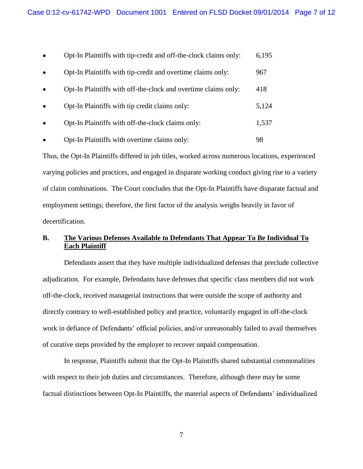| $\bullet$ | Opt-In Plaintiffs with tip-credit and off-the-clock claims only: | 6,195 |
|-----------|------------------------------------------------------------------|-------|
| $\bullet$ | Opt-In Plaintiffs with tip-credit and overtime claims only:      | 967   |
| $\bullet$ | Opt-In Plaintiffs with off-the-clock and overtime claims only:   | 418   |
| $\bullet$ | Opt-In Plaintiffs with tip credit claims only:                   | 5,124 |
| $\bullet$ | Opt-In Plaintiffs with off-the-clock claims only:                | 1,537 |
|           | Opt-In Plaintiffs with overtime claims only:                     | 98    |

Thus, the Opt-In Plaintiffs differed in job titles, worked across numerous locations, experienced varying policies and practices, and engaged in disparate working conduct giving rise to a variety of claim combinations. The Court concludes that the Opt-In Plaintiffs have disparate factual and employment settings; therefore, the first factor of the analysis weighs heavily in favor of decertification.

# **B. The Various Defenses Available to Defendants That Appear To Be Individual To Each Plaintiff**

Defendants assert that they have multiple individualized defenses that preclude collective adjudication. For example, Defendants have defenses that specific class members did not work off-the-clock, received managerial instructions that were outside the scope of authority and directly contrary to well-established policy and practice, voluntarily engaged in off-the-clock work in defiance of Defendants' official policies, and/or unreasonably failed to avail themselves of curative steps provided by the employer to recover unpaid compensation.

In response, Plaintiffs submit that the Opt-In Plaintiffs shared substantial commonalities with respect to their job duties and circumstances. Therefore, although there may be some factual distinctions between Opt-In Plaintiffs, the material aspects of Defendants' individualized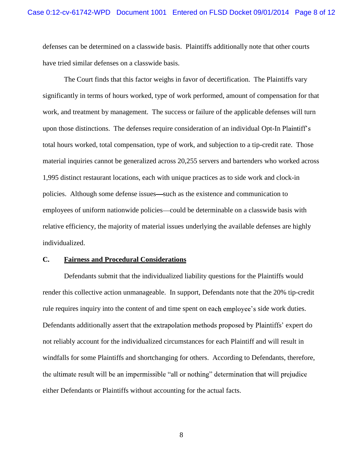defenses can be determined on a classwide basis. Plaintiffs additionally note that other courts have tried similar defenses on a classwide basis.

The Court finds that this factor weighs in favor of decertification. The Plaintiffs vary significantly in terms of hours worked, type of work performed, amount of compensation for that work, and treatment by management. The success or failure of the applicable defenses will turn upon those distinctions. The defenses require consideration of an individual Opt-In total hours worked, total compensation, type of work, and subjection to a tip-credit rate. Those material inquiries cannot be generalized across 20,255 servers and bartenders who worked across 1,995 distinct restaurant locations, each with unique practices as to side work and clock-in policies. Although some defense issues—such as the existence and communication to employees of uniform nationwide policies—could be determinable on a classwide basis with relative efficiency, the majority of material issues underlying the available defenses are highly individualized.

## **C. Fairness and Procedural Considerations**

Defendants submit that the individualized liability questions for the Plaintiffs would render this collective action unmanageable. In support, Defendants note that the 20% tip-credit rule requires inquiry into the content of and time spent on each employee's side work duties. Defendants additionally assert that the extrapolation methods proposed by Plaintiffs' expert do not reliably account for the individualized circumstances for each Plaintiff and will result in windfalls for some Plaintiffs and shortchanging for others. According to Defendants, therefore, the ultimate result will be an impermissible "all or nothing" determination that will prejudice either Defendants or Plaintiffs without accounting for the actual facts.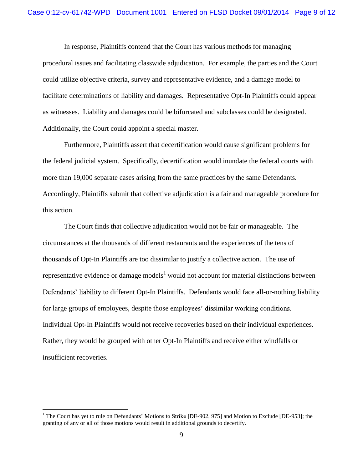In response, Plaintiffs contend that the Court has various methods for managing procedural issues and facilitating classwide adjudication. For example, the parties and the Court could utilize objective criteria, survey and representative evidence, and a damage model to facilitate determinations of liability and damages. Representative Opt-In Plaintiffs could appear as witnesses. Liability and damages could be bifurcated and subclasses could be designated. Additionally, the Court could appoint a special master.

Furthermore, Plaintiffs assert that decertification would cause significant problems for the federal judicial system. Specifically, decertification would inundate the federal courts with more than 19,000 separate cases arising from the same practices by the same Defendants. Accordingly, Plaintiffs submit that collective adjudication is a fair and manageable procedure for this action.

The Court finds that collective adjudication would not be fair or manageable. The circumstances at the thousands of different restaurants and the experiences of the tens of thousands of Opt-In Plaintiffs are too dissimilar to justify a collective action. The use of representative evidence or damage models<sup>1</sup> would not account for material distinctions between Defendants' liability to different Opt-In Plaintiffs. Defendants would face all-or-nothing liability for large groups of employees, despite those employees' dissimilar working conditions. Individual Opt-In Plaintiffs would not receive recoveries based on their individual experiences. Rather, they would be grouped with other Opt-In Plaintiffs and receive either windfalls or insufficient recoveries.

 $1$  The Court has yet to rule on Defendants' Motions to Strike [DE-902, 975] and Motion to Exclude [DE-953]; the granting of any or all of those motions would result in additional grounds to decertify.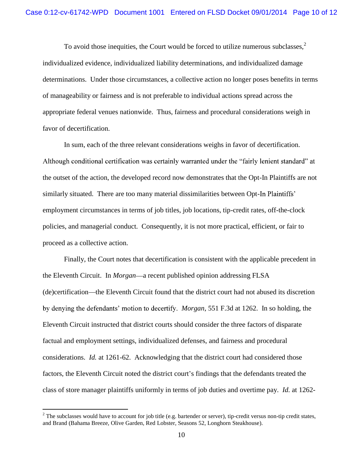To avoid those inequities, the Court would be forced to utilize numerous subclasses. $<sup>2</sup>$ </sup> individualized evidence, individualized liability determinations, and individualized damage determinations. Under those circumstances, a collective action no longer poses benefits in terms of manageability or fairness and is not preferable to individual actions spread across the appropriate federal venues nationwide. Thus, fairness and procedural considerations weigh in favor of decertification.

In sum, each of the three relevant considerations weighs in favor of decertification. Although conditional certification was certainly warranted under the "fairly lenient standard" at the outset of the action, the developed record now demonstrates that the Opt-In Plaintiffs are not similarly situated. There are too many material dissimilarities between Opt-In Plaintiffs' employment circumstances in terms of job titles, job locations, tip-credit rates, off-the-clock policies, and managerial conduct. Consequently, it is not more practical, efficient, or fair to proceed as a collective action.

Finally, the Court notes that decertification is consistent with the applicable precedent in the Eleventh Circuit. In *Morgan*—a recent published opinion addressing FLSA (de)certification—the Eleventh Circuit found that the district court had not abused its discretion *Morgan*, 551 F.3d at 1262. In so holding, the Eleventh Circuit instructed that district courts should consider the three factors of disparate factual and employment settings, individualized defenses, and fairness and procedural considerations. *Id.* at 1261-62. Acknowledging that the district court had considered those factors, the Eleventh Circuit noted the district court's findings that the defendants treated the class of store manager plaintiffs uniformly in terms of job duties and overtime pay. *Id.* at 1262-

 $2$  The subclasses would have to account for job title (e.g. bartender or server), tip-credit versus non-tip credit states, and Brand (Bahama Breeze, Olive Garden, Red Lobster, Seasons 52, Longhorn Steakhouse).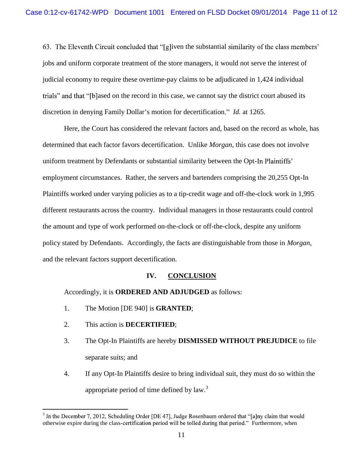63. The Eleventh Circuit concluded that " $[g]$  iven the substantial similarity of the class members' jobs and uniform corporate treatment of the store managers, it would not serve the interest of judicial economy to require these overtime-pay claims to be adjudicated in 1,424 individual trials" and that "[b]ased on the record in this case, we cannot say the district court abused its discretion in denying Family Dollar's motion for decertification." *Id.* at 1265.

Here, the Court has considered the relevant factors and, based on the record as whole, has determined that each factor favors decertification. Unlike *Morgan*, this case does not involve uniform treatment by Defendants or substantial similarity between the Opt-In Plaintiffs' employment circumstances. Rather, the servers and bartenders comprising the 20,255 Opt-In Plaintiffs worked under varying policies as to a tip-credit wage and off-the-clock work in 1,995 different restaurants across the country. Individual managers in those restaurants could control the amount and type of work performed on-the-clock or off-the-clock, despite any uniform policy stated by Defendants. Accordingly, the facts are distinguishable from those in *Morgan*, and the relevant factors support decertification.

# **IV. CONCLUSION**

Accordingly, it is **ORDERED AND ADJUDGED** as follows:

- 1. The Motion [DE 940] is **GRANTED**;
- 2. This action is **DECERTIFIED**;
- 3. The Opt-In Plaintiffs are hereby **DISMISSED WITHOUT PREJUDICE** to file separate suits; and
- 4. If any Opt-In Plaintiffs desire to bring individual suit, they must do so within the appropriate period of time defined by  $law<sup>3</sup>$ .

 $3$  In the December 7, 2012, Scheduling Order [DE 47], Judge Rosenbaum ordered that "[a]ny claim that would otherwise expire during the class-certification period will be tolled during that period." Furthermore, when